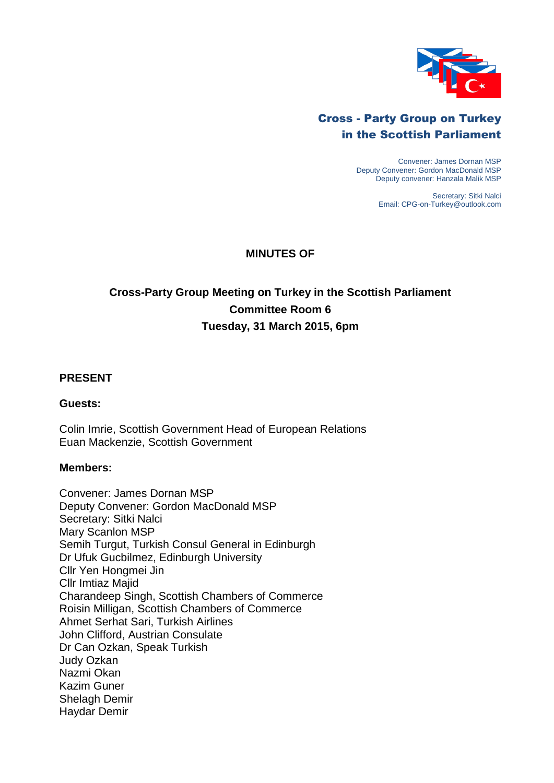

## Cross - Party Group on Turkey in the Scottish Parliament

Convener: James Dornan MSP Deputy Convener: Gordon MacDonald MSP Deputy convener: Hanzala Malik MSP

> Secretary: Sitki Nalci Email: CPG-on-Turkey@outlook.com

### **MINUTES OF**

# **Cross-Party Group Meeting on Turkey in the Scottish Parliament Committee Room 6 Tuesday, 31 March 2015, 6pm**

#### **PRESENT**

#### **Guests:**

Colin Imrie, Scottish Government Head of European Relations Euan Mackenzie, Scottish Government

#### **Members:**

Convener: James Dornan MSP Deputy Convener: Gordon MacDonald MSP Secretary: Sitki Nalci Mary Scanlon MSP Semih Turgut, Turkish Consul General in Edinburgh Dr Ufuk Gucbilmez, Edinburgh University Cllr Yen Hongmei Jin Cllr Imtiaz Majid Charandeep Singh, Scottish Chambers of Commerce Roisin Milligan, Scottish Chambers of Commerce Ahmet Serhat Sari, Turkish Airlines John Clifford, Austrian Consulate Dr Can Ozkan, Speak Turkish Judy Ozkan Nazmi Okan Kazim Guner Shelagh Demir Haydar Demir